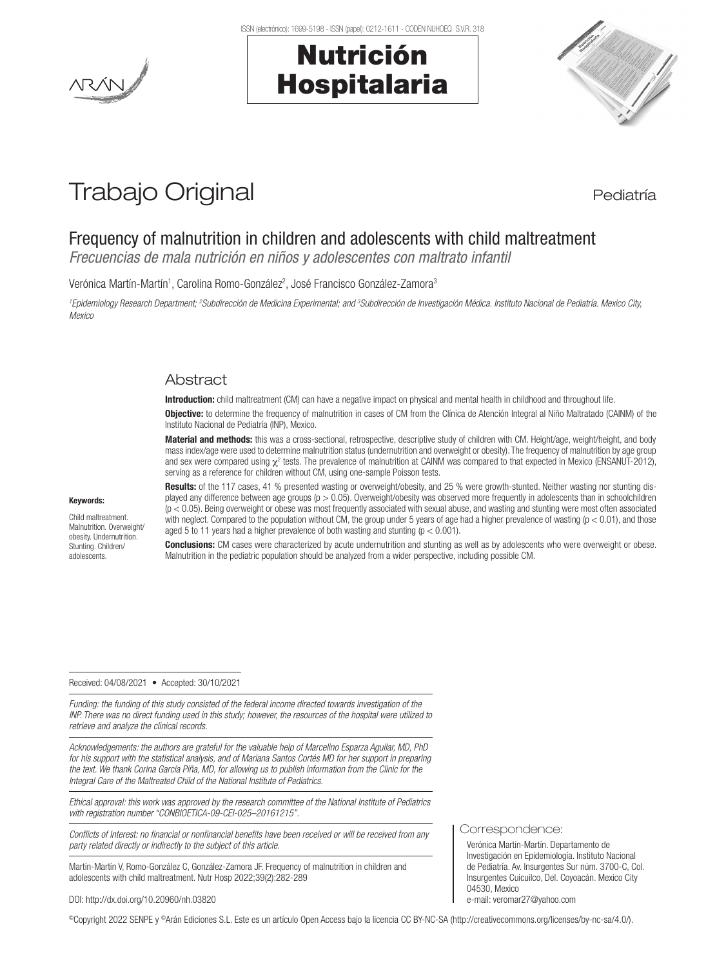

ISSN (electrónico): 1699-5198 - ISSN (papel): 0212-1611 - CODEN NUHOEQ S.V.R. 318

# Nutrición Hospitalaria



# Trabajo Original en actividad en la pediatría

# Frequency of malnutrition in children and adolescents with child maltreatment

*Frecuencias de mala nutrición en niños y adolescentes con maltrato infantil*

Verónica Martín-Martín<sup>1</sup>, Carolina Romo-González<sup>2</sup>, José Francisco González-Zamora<sup>3</sup>

<sup>1</sup> Epidemiology Research Department; <sup>2</sup>Subdirección de Medicina Experimental; and <sup>3</sup>Subdirección de Investigación Médica. Instituto Nacional de Pediatría. Mexico City, *Mexico*

# **Abstract**

Introduction: child maltreatment (CM) can have a negative impact on physical and mental health in childhood and throughout life.

Objective: to determine the frequency of malnutrition in cases of CM from the Clínica de Atención Integral al Niño Maltratado (CAINM) of the Instituto Nacional de Pediatría (INP), Mexico.

Material and methods: this was a cross-sectional, retrospective, descriptive study of children with CM. Height/age, weight/height, and body mass index/age were used to determine malnutrition status (undernutrition and overweight or obesity). The frequency of malnutrition by age group and sex were compared using  $\chi^2$  tests. The prevalence of malnutrition at CAINM was compared to that expected in Mexico (ENSANUT-2012), serving as a reference for children without CM, using one-sample Poisson tests.

#### Keywords:

Child maltreatment. Malnutrition. Overweight/ obesity. Undernutrition. Stunting. Children/ adolescents.

Results: of the 117 cases, 41 % presented wasting or overweight/obesity, and 25 % were growth-stunted. Neither wasting nor stunting displayed any difference between age groups ( $p > 0.05$ ). Overweight/obesity was observed more frequently in adolescents than in schoolchildren  $(p < 0.05)$ . Being overweight or obese was most frequently associated with sexual abuse, and wasting and stunting were most often associated with neglect. Compared to the population without CM, the group under 5 years of age had a higher prevalence of wasting  $(p < 0.01)$ , and those aged 5 to 11 years had a higher prevalence of both wasting and stunting ( $p < 0.001$ ).

**Conclusions:** CM cases were characterized by acute undernutrition and stunting as well as by adolescents who were overweight or obese. Malnutrition in the pediatric population should be analyzed from a wider perspective, including possible CM.

#### Received: 04/08/2021 • Accepted: 30/10/2021

*Funding: the funding of this study consisted of the federal income directed towards investigation of the INP. There was no direct funding used in this study; however, the resources of the hospital were utilized to retrieve and analyze the clinical records.*

*Acknowledgements: the authors are grateful for the valuable help of Marcelino Esparza Aguilar, MD, PhD for his support with the statistical analysis, and of Mariana Santos Cortés MD for her support in preparing the text. We thank Corina García Piña, MD, for allowing us to publish information from the Clinic for the Integral Care of the Maltreated Child of the National Institute of Pediatrics.*

*Ethical approval: this work was approved by the research committee of the National Institute of Pediatrics with registration number "CONBIOETICA-09-CEI-025–20161215".*

*Conflicts of Interest: no financial or nonfinancial benefits have been received or will be received from any party related directly or indirectly to the subject of this article.*

Martín-Martín V, Romo-González C, González-Zamora JF. Frequency of malnutrition in children and adolescents with child maltreatment. Nutr Hosp 2022;39(2):282-289

#### Correspondence:

Verónica Martín-Martín. Departamento de Investigación en Epidemiología. Instituto Nacional de Pediatría. Av. Insurgentes Sur núm. 3700-C, Col. Insurgentes Cuicuilco, Del. Coyoacán. Mexico City 04530, Mexico e-mail: veromar27@yahoo.com

DOI: http://dx.doi.org/10.20960/nh.03820

©Copyright 2022 SENPE y ©Arán Ediciones S.L. Este es un artículo Open Access bajo la licencia CC BY-NC-SA (http://creativecommons.org/licenses/by-nc-sa/4.0/).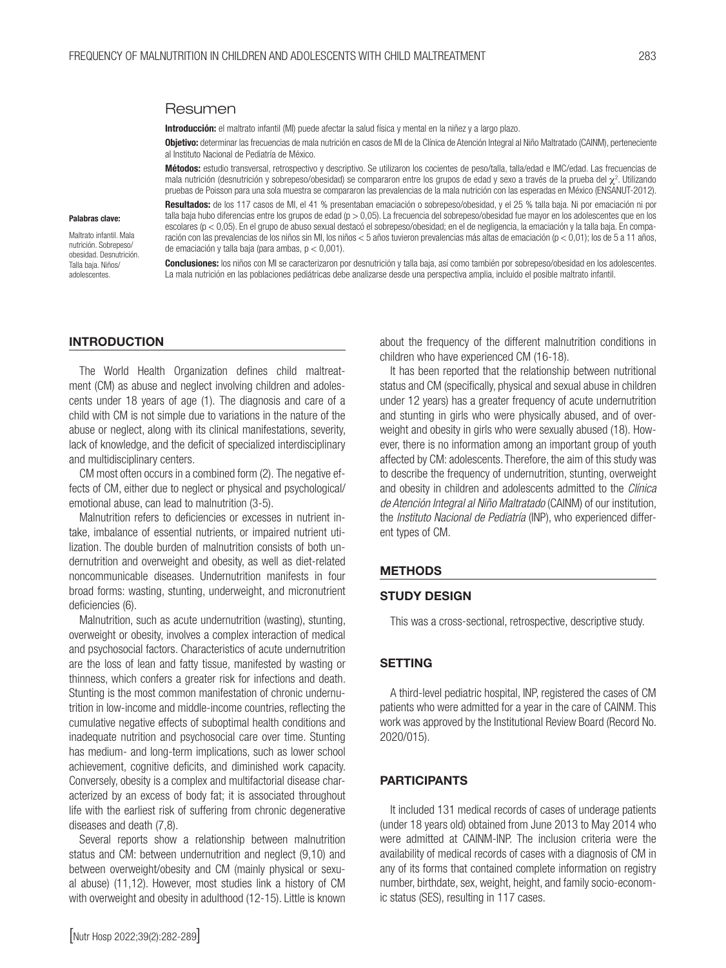### Resumen

Introducción: el maltrato infantil (MI) puede afectar la salud física y mental en la niñez y a largo plazo.

Objetivo: determinar las frecuencias de mala nutrición en casos de MI de la Clínica de Atención Integral al Niño Maltratado (CAINM), perteneciente al Instituto Nacional de Pediatría de México.

Métodos: estudio transversal, retrospectivo y descriptivo. Se utilizaron los cocientes de peso/talla, talla/edad e IMC/edad. Las frecuencias de mala nutrición (desnutrición y sobrepeso/obesidad) se compararon entre los grupos de edad y sexo a través de la prueba del  $\chi^2$ . Utilizando pruebas de Poisson para una sola muestra se compararon las prevalencias de la mala nutrición con las esperadas en México (ENSANUT-2012).

#### Palabras clave:

Maltrato infantil. Mala nutrición. Sobrepeso/ obesidad. Desnutrición. Talla baja. Niños/ adolescentes.

Resultados: de los 117 casos de MI, el 41 % presentaban emaciación o sobrepeso/obesidad, y el 25 % talla baja. Ni por emaciación ni por talla baja hubo diferencias entre los grupos de edad (p > 0,05). La frecuencia del sobrepeso/obesidad fue mayor en los adolescentes que en los escolares (p < 0,05). En el grupo de abuso sexual destacó el sobrepeso/obesidad; en el de negligencia, la emaciación y la talla baja. En comparación con las prevalencias de los niños sin MI, los niños < 5 años tuvieron prevalencias más altas de emaciación (p < 0,01); los de 5 a 11 años, de emaciación y talla baja (para ambas, p < 0,001).

**Conclusiones:** los niños con MI se caracterizaron por desnutrición y talla baja, así como también por sobrepeso/obesidad en los adolescentes. La mala nutrición en las poblaciones pediátricas debe analizarse desde una perspectiva amplia, incluido el posible maltrato infantil.

# INTRODUCTION

The World Health Organization defines child maltreatment (CM) as abuse and neglect involving children and adolescents under 18 years of age (1). The diagnosis and care of a child with CM is not simple due to variations in the nature of the abuse or neglect, along with its clinical manifestations, severity, lack of knowledge, and the deficit of specialized interdisciplinary and multidisciplinary centers.

CM most often occurs in a combined form (2). The negative effects of CM, either due to neglect or physical and psychological/ emotional abuse, can lead to malnutrition (3-5).

Malnutrition refers to deficiencies or excesses in nutrient intake, imbalance of essential nutrients, or impaired nutrient utilization. The double burden of malnutrition consists of both undernutrition and overweight and obesity, as well as diet-related noncommunicable diseases. Undernutrition manifests in four broad forms: wasting, stunting, underweight, and micronutrient deficiencies (6).

Malnutrition, such as acute undernutrition (wasting), stunting, overweight or obesity, involves a complex interaction of medical and psychosocial factors. Characteristics of acute undernutrition are the loss of lean and fatty tissue, manifested by wasting or thinness, which confers a greater risk for infections and death. Stunting is the most common manifestation of chronic undernutrition in low-income and middle-income countries, reflecting the cumulative negative effects of suboptimal health conditions and inadequate nutrition and psychosocial care over time. Stunting has medium- and long-term implications, such as lower school achievement, cognitive deficits, and diminished work capacity. Conversely, obesity is a complex and multifactorial disease characterized by an excess of body fat; it is associated throughout life with the earliest risk of suffering from chronic degenerative diseases and death (7,8).

Several reports show a relationship between malnutrition status and CM: between undernutrition and neglect (9,10) and between overweight/obesity and CM (mainly physical or sexual abuse) (11,12). However, most studies link a history of CM with overweight and obesity in adulthood (12-15). Little is known

about the frequency of the different malnutrition conditions in children who have experienced CM (16-18).

It has been reported that the relationship between nutritional status and CM (specifically, physical and sexual abuse in children under 12 years) has a greater frequency of acute undernutrition and stunting in girls who were physically abused, and of overweight and obesity in girls who were sexually abused (18). However, there is no information among an important group of youth affected by CM: adolescents. Therefore, the aim of this study was to describe the frequency of undernutrition, stunting, overweight and obesity in children and adolescents admitted to the *Clínica de Atención Integral al Niño Maltratado* (CAINM) of our institution, the *Instituto Nacional de Pediatría* (INP), who experienced different types of CM.

#### METHODS

# STUDY DESIGN

This was a cross-sectional, retrospective, descriptive study.

# **SETTING**

A third-level pediatric hospital, INP, registered the cases of CM patients who were admitted for a year in the care of CAINM. This work was approved by the Institutional Review Board (Record No. 2020/015).

#### PARTICIPANTS

It included 131 medical records of cases of underage patients (under 18 years old) obtained from June 2013 to May 2014 who were admitted at CAINM-INP. The inclusion criteria were the availability of medical records of cases with a diagnosis of CM in any of its forms that contained complete information on registry number, birthdate, sex, weight, height, and family socio-economic status (SES), resulting in 117 cases.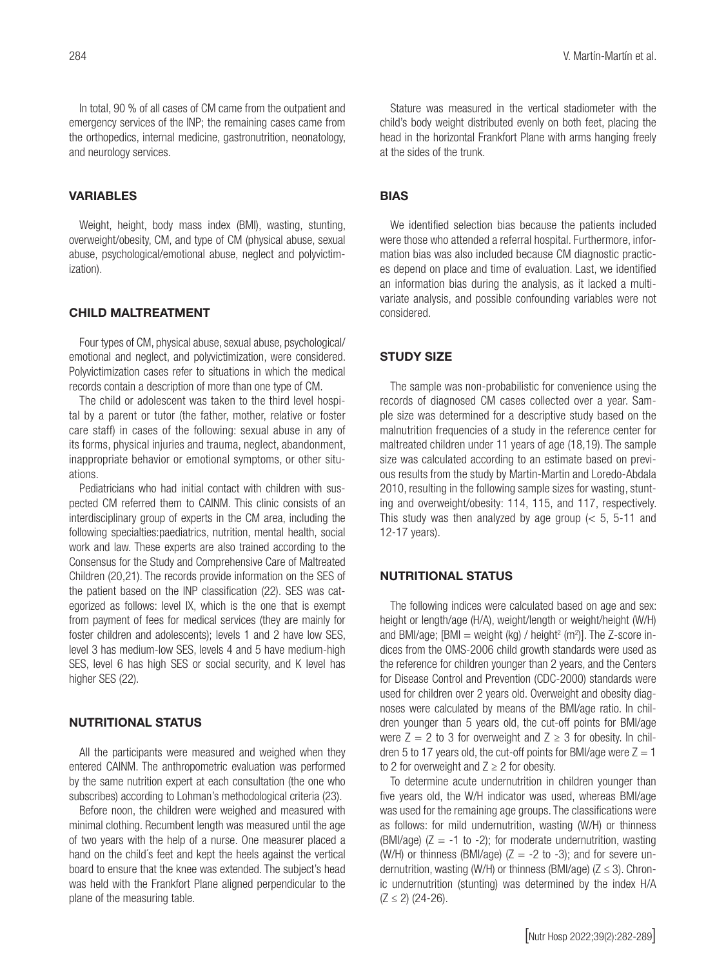In total, 90 % of all cases of CM came from the outpatient and emergency services of the INP; the remaining cases came from the orthopedics, internal medicine, gastronutrition, neonatology, and neurology services.

# VARIABLES

Weight, height, body mass index (BMI), wasting, stunting, overweight/obesity, CM, and type of CM (physical abuse, sexual abuse, psychological/emotional abuse, neglect and polyvictimization).

#### CHILD MALTREATMENT

Four types of CM, physical abuse, sexual abuse, psychological/ emotional and neglect, and polyvictimization, were considered. Polyvictimization cases refer to situations in which the medical records contain a description of more than one type of CM.

The child or adolescent was taken to the third level hospital by a parent or tutor (the father, mother, relative or foster care staff) in cases of the following: sexual abuse in any of its forms, physical injuries and trauma, neglect, abandonment, inappropriate behavior or emotional symptoms, or other situations.

Pediatricians who had initial contact with children with suspected CM referred them to CAINM. This clinic consists of an interdisciplinary group of experts in the CM area, including the following specialties:paediatrics, nutrition, mental health, social work and law. These experts are also trained according to the Consensus for the Study and Comprehensive Care of Maltreated Children (20,21). The records provide information on the SES of the patient based on the INP classification (22). SES was categorized as follows: level IX, which is the one that is exempt from payment of fees for medical services (they are mainly for foster children and adolescents); levels 1 and 2 have low SES, level 3 has medium-low SES, levels 4 and 5 have medium-high SES, level 6 has high SES or social security, and K level has higher SES (22).

# NUTRITIONAL STATUS

All the participants were measured and weighed when they entered CAINM. The anthropometric evaluation was performed by the same nutrition expert at each consultation (the one who subscribes) according to Lohman's methodological criteria (23).

Before noon, the children were weighed and measured with minimal clothing. Recumbent length was measured until the age of two years with the help of a nurse. One measurer placed a hand on the child´s feet and kept the heels against the vertical board to ensure that the knee was extended. The subject's head was held with the Frankfort Plane aligned perpendicular to the plane of the measuring table.

Stature was measured in the vertical stadiometer with the child's body weight distributed evenly on both feet, placing the head in the horizontal Frankfort Plane with arms hanging freely at the sides of the trunk.

# BIAS

We identified selection bias because the patients included were those who attended a referral hospital. Furthermore, information bias was also included because CM diagnostic practices depend on place and time of evaluation. Last, we identified an information bias during the analysis, as it lacked a multivariate analysis, and possible confounding variables were not considered.

# STUDY SIZE

The sample was non-probabilistic for convenience using the records of diagnosed CM cases collected over a year. Sample size was determined for a descriptive study based on the malnutrition frequencies of a study in the reference center for maltreated children under 11 years of age (18,19). The sample size was calculated according to an estimate based on previous results from the study by Martin-Martin and Loredo-Abdala 2010, resulting in the following sample sizes for wasting, stunting and overweight/obesity: 114, 115, and 117, respectively. This study was then analyzed by age group  $\approx$  5, 5-11 and 12-17 years).

# NUTRITIONAL STATUS

The following indices were calculated based on age and sex: height or length/age (H/A), weight/length or weight/height (W/H) and BMI/age; [BMI = weight (kg) / height<sup>2</sup> (m<sup>2</sup>)]. The Z-score indices from the OMS-2006 child growth standards were used as the reference for children younger than 2 years, and the Centers for Disease Control and Prevention (CDC-2000) standards were used for children over 2 years old. Overweight and obesity diagnoses were calculated by means of the BMI/age ratio. In children younger than 5 years old, the cut-off points for BMI/age were  $Z = 2$  to 3 for overweight and  $Z \ge 3$  for obesity. In children 5 to 17 years old, the cut-off points for BMI/age were  $Z = 1$ to 2 for overweight and  $Z \ge 2$  for obesity.

To determine acute undernutrition in children younger than five years old, the W/H indicator was used, whereas BMI/age was used for the remaining age groups. The classifications were as follows: for mild undernutrition, wasting (W/H) or thinness (BMI/age)  $(Z = -1)$  to  $-2$ ); for moderate undernutrition, wasting (W/H) or thinness (BMI/age)  $(Z = -2$  to  $-3)$ ; and for severe undernutrition, wasting (W/H) or thinness (BMI/age)  $(Z \le 3)$ . Chronic undernutrition (stunting) was determined by the index H/A  $(Z \le 2)$  (24-26).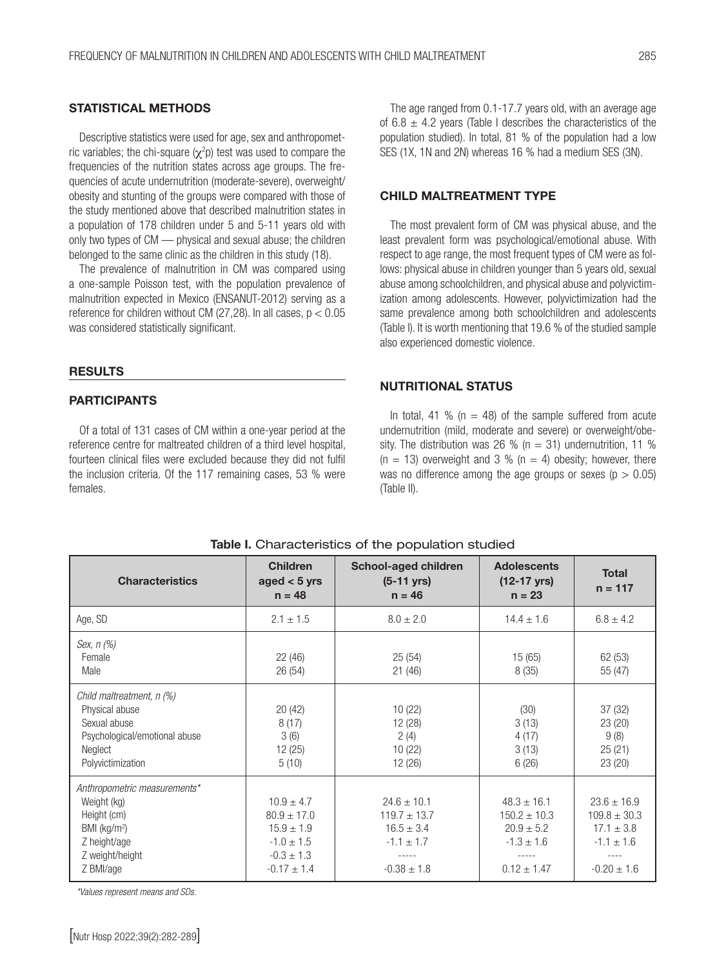# STATISTICAL METHODS

Descriptive statistics were used for age, sex and anthropometric variables; the chi-square ( $\chi^2$ p) test was used to compare the frequencies of the nutrition states across age groups. The frequencies of acute undernutrition (moderate-severe), overweight/ obesity and stunting of the groups were compared with those of the study mentioned above that described malnutrition states in a population of 178 children under 5 and 5-11 years old with only two types of CM — physical and sexual abuse; the children belonged to the same clinic as the children in this study (18).

The prevalence of malnutrition in CM was compared using a one-sample Poisson test, with the population prevalence of malnutrition expected in Mexico (ENSANUT-2012) serving as a reference for children without CM (27,28). In all cases, p < 0.05 was considered statistically significant.

## **RESULTS**

# **PARTICIPANTS**

Of a total of 131 cases of CM within a one-year period at the reference centre for maltreated children of a third level hospital, fourteen clinical files were excluded because they did not fulfil the inclusion criteria. Of the 117 remaining cases, 53 % were females.

The age ranged from 0.1-17.7 years old, with an average age of 6.8  $\pm$  4.2 years (Table I describes the characteristics of the population studied). In total, 81 % of the population had a low SES (1X, 1N and 2N) whereas 16 % had a medium SES (3N).

# CHILD MALTREATMENT TYPE

The most prevalent form of CM was physical abuse, and the least prevalent form was psychological/emotional abuse. With respect to age range, the most frequent types of CM were as follows: physical abuse in children younger than 5 years old, sexual abuse among schoolchildren, and physical abuse and polyvictimization among adolescents. However, polyvictimization had the same prevalence among both schoolchildren and adolescents (Table I). It is worth mentioning that 19.6 % of the studied sample also experienced domestic violence.

# NUTRITIONAL STATUS

In total, 41 % ( $n = 48$ ) of the sample suffered from acute undernutrition (mild, moderate and severe) or overweight/obesity. The distribution was 26 % ( $n = 31$ ) undernutrition, 11 %  $(n = 13)$  overweight and 3 %  $(n = 4)$  obesity; however, there was no difference among the age groups or sexes ( $p > 0.05$ ) (Table II).

| <b>Characteristics</b>                                                                                                        | <b>Children</b><br>aged $<$ 5 yrs<br>$n = 48$                                                              | School-aged children<br>$(5-11 \text{ yrs})$<br>$n = 46$                                   | <b>Adolescents</b><br>$(12-17 \text{ yrs})$<br>$n = 23$                                    | <b>Total</b><br>$n = 117$                                                                  |
|-------------------------------------------------------------------------------------------------------------------------------|------------------------------------------------------------------------------------------------------------|--------------------------------------------------------------------------------------------|--------------------------------------------------------------------------------------------|--------------------------------------------------------------------------------------------|
| Age, SD                                                                                                                       | $2.1 \pm 1.5$                                                                                              | $8.0 \pm 2.0$                                                                              | $14.4 \pm 1.6$                                                                             | $6.8 \pm 4.2$                                                                              |
| Sex, n (%)<br>Female<br>Male                                                                                                  | 22(46)<br>26(54)                                                                                           | 25(54)<br>21(46)                                                                           | 15(65)<br>8(35)                                                                            | 62(53)<br>55 (47)                                                                          |
| Child maltreatment, n (%)<br>Physical abuse<br>Sexual abuse<br>Psychological/emotional abuse<br>Neglect<br>Polyvictimization  | 20(42)<br>8(17)<br>3(6)<br>12(25)<br>5(10)                                                                 | 10(22)<br>12 (28)<br>2(4)<br>10(22)<br>12(26)                                              | (30)<br>3(13)<br>4(17)<br>3(13)<br>6(26)                                                   | 37(32)<br>23(20)<br>9(8)<br>25(21)<br>23(20)                                               |
| Anthropometric measurements*<br>Weight (kg)<br>Height (cm)<br>BMI ( $kg/m2$ )<br>Z height/age<br>Z weight/height<br>Z BMI/age | $10.9 \pm 4.7$<br>$80.9 \pm 17.0$<br>$15.9 \pm 1.9$<br>$-1.0 \pm 1.5$<br>$-0.3 \pm 1.3$<br>$-0.17 \pm 1.4$ | $24.6 \pm 10.1$<br>$119.7 \pm 13.7$<br>$16.5 \pm 3.4$<br>$-1.1 \pm 1.7$<br>$-0.38 \pm 1.8$ | $48.3 \pm 16.1$<br>$150.2 \pm 10.3$<br>$20.9 \pm 5.2$<br>$-1.3 \pm 1.6$<br>$0.12 \pm 1.47$ | $23.6 \pm 16.9$<br>$109.8 \pm 30.3$<br>$17.1 \pm 3.8$<br>$-1.1 \pm 1.6$<br>$-0.20 \pm 1.6$ |

#### Table I. Characteristics of the population studied

*\*Values represent means and SDs.*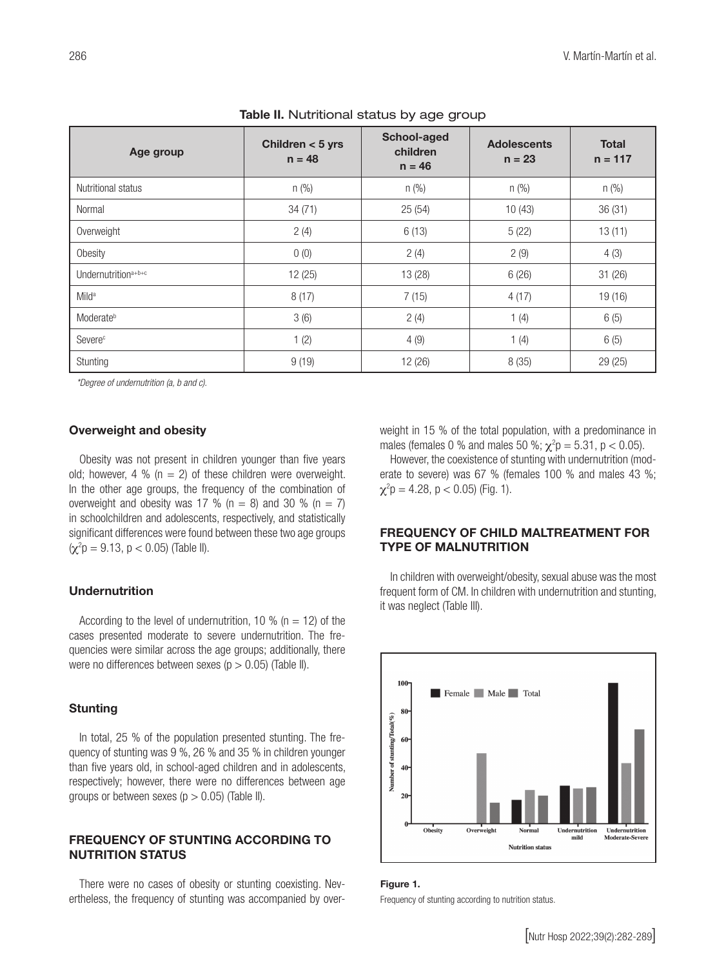| Age group                       | Children $<$ 5 yrs<br>$n = 48$ | School-aged<br>children<br>$n = 46$ | <b>Adolescents</b><br>$n = 23$ | <b>Total</b><br>$n = 117$ |
|---------------------------------|--------------------------------|-------------------------------------|--------------------------------|---------------------------|
| Nutritional status              | $n$ (%)                        | n (%)                               | n (%)                          | n (%)                     |
| Normal                          | 34(71)                         | 25(54)                              | 10(43)                         | 36(31)                    |
| Overweight                      | 2(4)                           | 6(13)                               | 5(22)                          | 13(11)                    |
| Obesity                         | 0(0)                           | 2(4)                                | 2(9)                           | 4(3)                      |
| Undernutrition <sup>a+b+c</sup> | 12(25)                         | 13 (28)                             | 6(26)                          | 31(26)                    |
| Mild <sup>a</sup>               | 8(17)                          | 7(15)                               | 4(17)                          | 19 (16)                   |
| Moderate <sup>b</sup>           | 3(6)                           | 2(4)                                | 1(4)                           | 6(5)                      |
| Severe <sup>c</sup>             | 1(2)                           | 4(9)                                | 1(4)                           | 6(5)                      |
| Stunting                        | 9(19)                          | 12 (26)                             | 8 (35)                         | 29 (25)                   |

#### Table II. Nutritional status by age group

*\*Degree of undernutrition (a, b and c).*

# Overweight and obesity

Obesity was not present in children younger than five years old; however, 4 % ( $n = 2$ ) of these children were overweight. In the other age groups, the frequency of the combination of overweight and obesity was 17 % ( $n = 8$ ) and 30 % ( $n = 7$ ) in schoolchildren and adolescents, respectively, and statistically significant differences were found between these two age groups  $(\chi^2 p = 9.13, p < 0.05)$  (Table II).

# Undernutrition

According to the level of undernutrition, 10 % ( $n = 12$ ) of the cases presented moderate to severe undernutrition. The frequencies were similar across the age groups; additionally, there were no differences between sexes ( $p > 0.05$ ) (Table II).

#### Stunting

In total, 25 % of the population presented stunting. The frequency of stunting was 9 %, 26 % and 35 % in children younger than five years old, in school-aged children and in adolescents, respectively; however, there were no differences between age groups or between sexes ( $p > 0.05$ ) (Table II).

# FREQUENCY OF STUNTING ACCORDING TO NUTRITION STATUS

There were no cases of obesity or stunting coexisting. Nevertheless, the frequency of stunting was accompanied by overweight in 15 % of the total population, with a predominance in males (females 0 % and males 50 %;  $\chi^2 p = 5.31$ ,  $p < 0.05$ ).

However, the coexistence of stunting with undernutrition (moderate to severe) was 67 % (females 100 % and males 43 %;  $\chi^2$ p = 4.28, p < 0.05) (Fig. 1).

# FREQUENCY OF CHILD MALTREATMENT FOR TYPE OF MALNUTRITION

In children with overweight/obesity, sexual abuse was the most frequent form of CM. In children with undernutrition and stunting, it was neglect (Table III).



#### Figure 1.

Frequency of stunting according to nutrition status.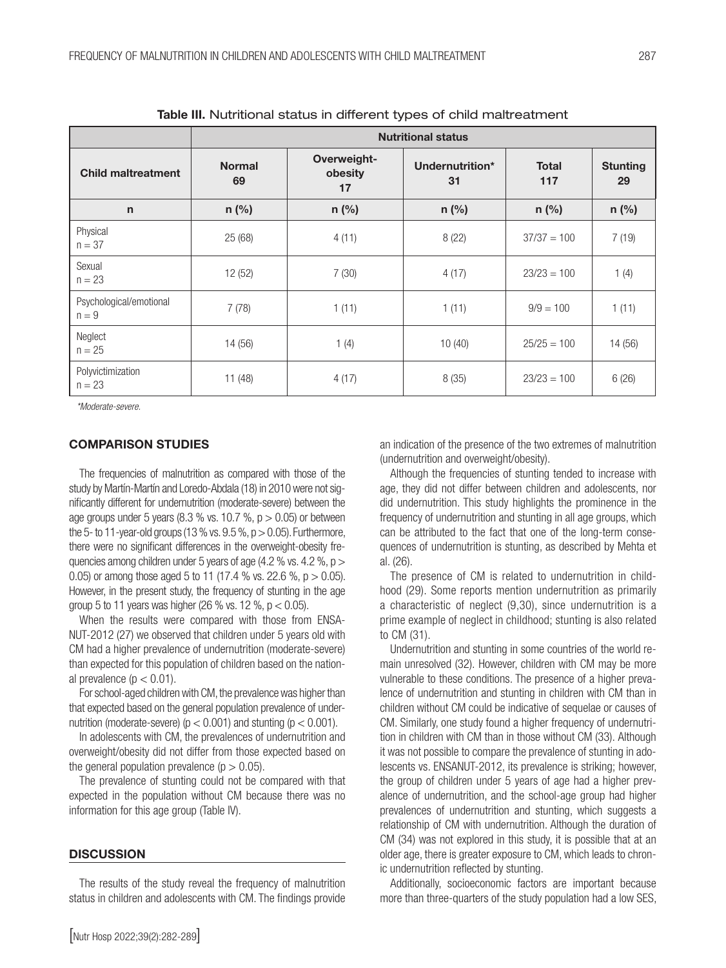|                                    | <b>Nutritional status</b> |                              |                       |                     |                       |  |
|------------------------------------|---------------------------|------------------------------|-----------------------|---------------------|-----------------------|--|
| <b>Child maltreatment</b>          | <b>Normal</b><br>69       | Overweight-<br>obesity<br>17 | Undernutrition*<br>31 | <b>Total</b><br>117 | <b>Stunting</b><br>29 |  |
| $\mathsf{n}$                       | $n$ (%)                   | $n$ (%)                      | $n$ (%)               | $n$ (%)             | $n$ (%)               |  |
| Physical<br>$n = 37$               | 25 (68)                   | 4(11)                        | 8(22)                 | $37/37 = 100$       | 7(19)                 |  |
| Sexual<br>$n = 23$                 | 12 (52)                   | 7(30)                        | 4(17)                 | $23/23 = 100$       | 1(4)                  |  |
| Psychological/emotional<br>$n = 9$ | 7(78)                     | 1(11)                        | 1(11)                 | $9/9 = 100$         | 1(11)                 |  |
| Neglect<br>$n = 25$                | 14 (56)                   | 1(4)                         | 10(40)                | $25/25 = 100$       | 14 (56)               |  |
| Polyvictimization<br>$n = 23$      | 11(48)                    | 4(17)                        | 8(35)                 | $23/23 = 100$       | 6(26)                 |  |

Table III. Nutritional status in different types of child maltreatment

*\*Moderate-severe.*

# COMPARISON STUDIES

The frequencies of malnutrition as compared with those of the study by Martín-Martín and Loredo-Abdala (18) in 2010 were not significantly different for undernutrition (moderate-severe) between the age groups under 5 years (8.3 % vs. 10.7 %,  $p > 0.05$ ) or between the 5- to 11-year-old groups (13 % vs.  $9.5\%$ ,  $p > 0.05$ ). Furthermore, there were no significant differences in the overweight-obesity frequencies among children under 5 years of age  $(4.2 %$  vs.  $4.2 %$ ,  $p >$ 0.05) or among those aged 5 to 11 (17.4 % vs. 22.6 %, p > 0.05). However, in the present study, the frequency of stunting in the age group 5 to 11 years was higher (26 % vs. 12 %,  $p < 0.05$ ).

When the results were compared with those from ENSA-NUT-2012 (27) we observed that children under 5 years old with CM had a higher prevalence of undernutrition (moderate-severe) than expected for this population of children based on the national prevalence ( $p < 0.01$ ).

For school-aged children with CM, the prevalence was higher than that expected based on the general population prevalence of undernutrition (moderate-severe) ( $p < 0.001$ ) and stunting ( $p < 0.001$ ).

In adolescents with CM, the prevalences of undernutrition and overweight/obesity did not differ from those expected based on the general population prevalence ( $p > 0.05$ ).

The prevalence of stunting could not be compared with that expected in the population without CM because there was no information for this age group (Table IV).

#### **DISCUSSION**

The results of the study reveal the frequency of malnutrition status in children and adolescents with CM. The findings provide

an indication of the presence of the two extremes of malnutrition (undernutrition and overweight/obesity). Although the frequencies of stunting tended to increase with

age, they did not differ between children and adolescents, nor did undernutrition. This study highlights the prominence in the frequency of undernutrition and stunting in all age groups, which can be attributed to the fact that one of the long-term consequences of undernutrition is stunting, as described by Mehta et al. (26).

The presence of CM is related to undernutrition in childhood (29). Some reports mention undernutrition as primarily a characteristic of neglect (9,30), since undernutrition is a prime example of neglect in childhood; stunting is also related to CM (31).

Undernutrition and stunting in some countries of the world remain unresolved (32). However, children with CM may be more vulnerable to these conditions. The presence of a higher prevalence of undernutrition and stunting in children with CM than in children without CM could be indicative of sequelae or causes of CM. Similarly, one study found a higher frequency of undernutrition in children with CM than in those without CM (33). Although it was not possible to compare the prevalence of stunting in adolescents vs. ENSANUT-2012, its prevalence is striking; however, the group of children under 5 years of age had a higher prevalence of undernutrition, and the school-age group had higher prevalences of undernutrition and stunting, which suggests a relationship of CM with undernutrition. Although the duration of CM (34) was not explored in this study, it is possible that at an older age, there is greater exposure to CM, which leads to chronic undernutrition reflected by stunting.

Additionally, socioeconomic factors are important because more than three-quarters of the study population had a low SES,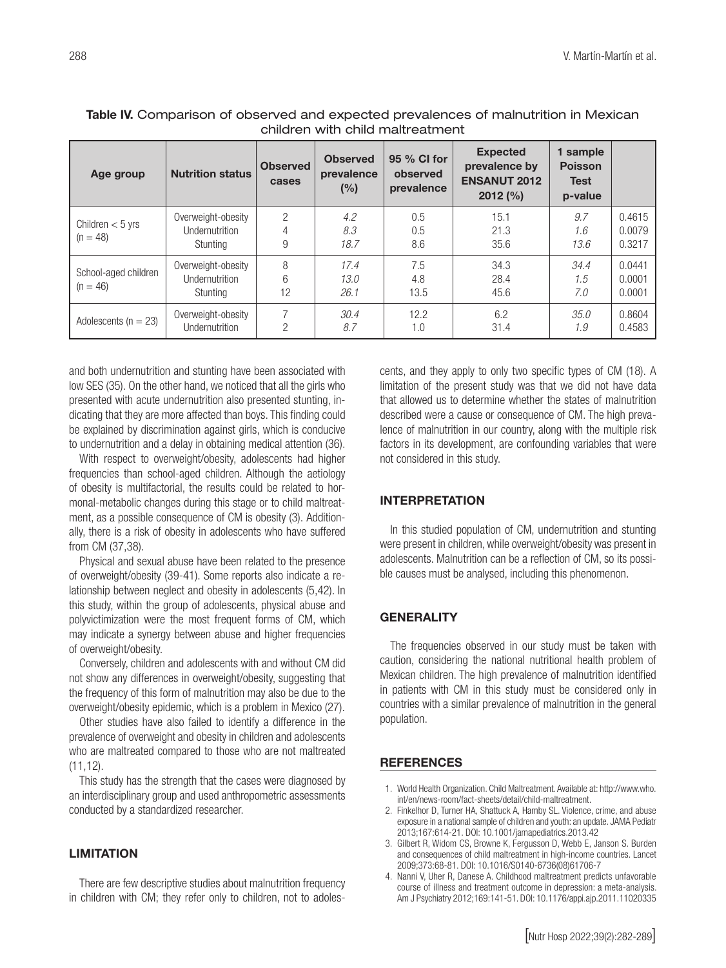| children with child maitreatment   |                                                                     |                          |                                      |                                       |                                                                       |                                                      |                            |
|------------------------------------|---------------------------------------------------------------------|--------------------------|--------------------------------------|---------------------------------------|-----------------------------------------------------------------------|------------------------------------------------------|----------------------------|
| Age group                          | <b>Nutrition status</b>                                             | <b>Observed</b><br>cases | <b>Observed</b><br>prevalence<br>(%) | 95 % CI for<br>observed<br>prevalence | <b>Expected</b><br>prevalence by<br><b>ENSANUT 2012</b><br>$2012$ (%) | 1 sample<br><b>Poisson</b><br><b>Test</b><br>p-value |                            |
| Children $<$ 5 yrs<br>$(n = 48)$   | Overweight-obesity<br>Undernutrition<br>Stunting                    | 2<br>4<br>9              | 4.2<br>8.3<br>18.7                   | 0.5<br>0.5<br>8.6                     | 15.1<br>21.3<br>35.6                                                  | 9.7<br>1.6<br>13.6                                   | 0.4615<br>0.0079<br>0.3217 |
| School-aged children<br>$(n = 46)$ | Overweight-obesity<br>Undernutrition<br>Stunting                    | 8<br>6<br>12             | 17.4<br>13.0<br>26.1                 | 7.5<br>4.8<br>13.5                    | 34.3<br>28.4<br>45.6                                                  | 34.4<br>1.5<br>7.0                                   | 0.0441<br>0.0001<br>0.0001 |
| Adolescents ( $n = 23$ )           | Overweight-obesity<br>والمستركبة فيتعارض والمستنب والمستنب المساوية | $\cap$                   | 30.4<br>$\sim$ $\sim$                | 12.2<br>$\overline{a}$                | 6.2<br>$\bigcap$ $\bigcup$ $\bigcap$                                  | 35.0<br>$\rightarrow$ $\sim$                         | 0.8604<br>0.1500           |

*8.7*

# Table IV. Comparison of observed and expected prevalences of malnutrition in Mexican children with child maltreatment

and both undernutrition and stunting have been associated with low SES (35). On the other hand, we noticed that all the girls who presented with acute undernutrition also presented stunting, indicating that they are more affected than boys. This finding could be explained by discrimination against girls, which is conducive to undernutrition and a delay in obtaining medical attention (36).

Undernutrition

2

With respect to overweight/obesity, adolescents had higher frequencies than school-aged children. Although the aetiology of obesity is multifactorial, the results could be related to hormonal-metabolic changes during this stage or to child maltreatment, as a possible consequence of CM is obesity (3). Additionally, there is a risk of obesity in adolescents who have suffered from CM (37,38).

Physical and sexual abuse have been related to the presence of overweight/obesity (39-41). Some reports also indicate a relationship between neglect and obesity in adolescents (5,42). In this study, within the group of adolescents, physical abuse and polyvictimization were the most frequent forms of CM, which may indicate a synergy between abuse and higher frequencies of overweight/obesity.

Conversely, children and adolescents with and without CM did not show any differences in overweight/obesity, suggesting that the frequency of this form of malnutrition may also be due to the overweight/obesity epidemic, which is a problem in Mexico (27).

Other studies have also failed to identify a difference in the prevalence of overweight and obesity in children and adolescents who are maltreated compared to those who are not maltreated  $(11, 12)$ .

This study has the strength that the cases were diagnosed by an interdisciplinary group and used anthropometric assessments conducted by a standardized researcher.

# **LIMITATION**

There are few descriptive studies about malnutrition frequency in children with CM; they refer only to children, not to adolescents, and they apply to only two specific types of CM (18). A limitation of the present study was that we did not have data that allowed us to determine whether the states of malnutrition described were a cause or consequence of CM. The high prevalence of malnutrition in our country, along with the multiple risk factors in its development, are confounding variables that were not considered in this study.

*1.9*

0.4583

31.4

# INTERPRETATION

1.0

In this studied population of CM, undernutrition and stunting were present in children, while overweight/obesity was present in adolescents. Malnutrition can be a reflection of CM, so its possible causes must be analysed, including this phenomenon.

# **GENERALITY**

The frequencies observed in our study must be taken with caution, considering the national nutritional health problem of Mexican children. The high prevalence of malnutrition identified in patients with CM in this study must be considered only in countries with a similar prevalence of malnutrition in the general population.

# **REFERENCES**

- 1. World Health Organization. Child Maltreatment. Available at: http://www.who. int/en/news-room/fact-sheets/detail/child-maltreatment.
- 2. Finkelhor D, Turner HA, Shattuck A, Hamby SL. Violence, crime, and abuse exposure in a national sample of children and youth: an update. JAMA Pediatr 2013;167:614-21. DOI: 10.1001/jamapediatrics.2013.42
- 3. Gilbert R, Widom CS, Browne K, Fergusson D, Webb E, Janson S. Burden and consequences of child maltreatment in high-income countries. Lancet 2009;373:68-81. DOI: 10.1016/S0140-6736(08)61706-7
- 4. Nanni V, Uher R, Danese A. Childhood maltreatment predicts unfavorable course of illness and treatment outcome in depression: a meta-analysis. Am J Psychiatry 2012;169:141-51. DOI: 10.1176/appi.ajp.2011.11020335